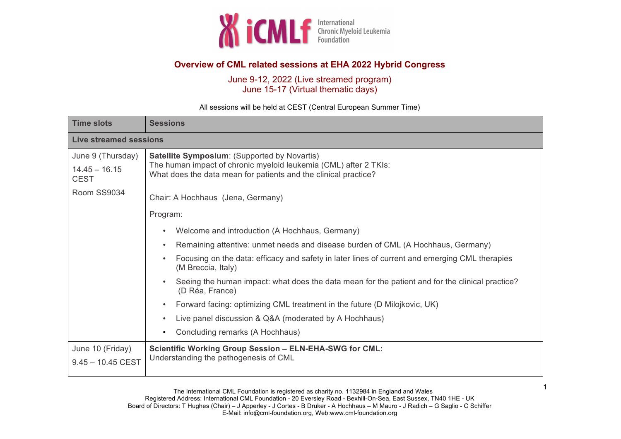

## **Overview of CML related sessions at EHA 2022 Hybrid Congress**

June 9-12, 2022 (Live streamed program) June 15-17 (Virtual thematic days)

**Time slots Sessions Live streamed sessions** June 9 (Thursday)  $14.45 - 16.15$ **CEST** Room SS9034 **Satellite Symposium**: (Supported by Novartis) The human impact of chronic myeloid leukemia (CML) after 2 TKIs: What does the data mean for patients and the clinical practice? Chair: A Hochhaus (Jena, Germany) Program: • Welcome and introduction (A Hochhaus, Germany) • Remaining attentive: unmet needs and disease burden of CML (A Hochhaus, Germany) • Focusing on the data: efficacy and safety in later lines of current and emerging CML therapies (M Breccia, Italy) • Seeing the human impact: what does the data mean for the patient and for the clinical practice? (D Réa, France) • Forward facing: optimizing CML treatment in the future (D Milojkovic, UK) • Live panel discussion & Q&A (moderated by A Hochhaus) • Concluding remarks (A Hochhaus) June 10 (Friday) 9.45 – 10.45 CEST **Scientific Working Group Session – ELN-EHA-SWG for CML:**  Understanding the pathogenesis of CML

All sessions will be held at CEST (Central European Summer Time)

1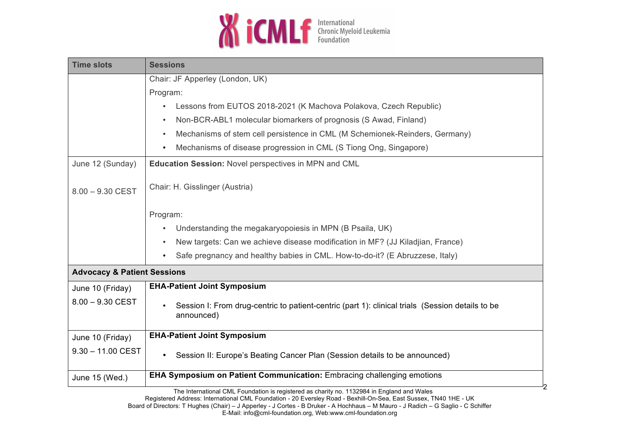

| <b>Sessions</b>                                                                                                |
|----------------------------------------------------------------------------------------------------------------|
| Chair: JF Apperley (London, UK)                                                                                |
| Program:                                                                                                       |
| Lessons from EUTOS 2018-2021 (K Machova Polakova, Czech Republic)                                              |
| Non-BCR-ABL1 molecular biomarkers of prognosis (S Awad, Finland)<br>$\bullet$                                  |
| Mechanisms of stem cell persistence in CML (M Schemionek-Reinders, Germany)                                    |
| Mechanisms of disease progression in CML (S Tiong Ong, Singapore)                                              |
| Education Session: Novel perspectives in MPN and CML                                                           |
| Chair: H. Gisslinger (Austria)                                                                                 |
| Program:                                                                                                       |
| Understanding the megakaryopoiesis in MPN (B Psaila, UK)                                                       |
| New targets: Can we achieve disease modification in MF? (JJ Kiladjian, France)                                 |
| Safe pregnancy and healthy babies in CML. How-to-do-it? (E Abruzzese, Italy)                                   |
| <b>Advocacy &amp; Patient Sessions</b>                                                                         |
| <b>EHA-Patient Joint Symposium</b>                                                                             |
| Session I: From drug-centric to patient-centric (part 1): clinical trials (Session details to be<br>announced) |
| <b>EHA-Patient Joint Symposium</b>                                                                             |
| Session II: Europe's Beating Cancer Plan (Session details to be announced)                                     |
| EHA Symposium on Patient Communication: Embracing challenging emotions                                         |
|                                                                                                                |

The International CML Foundation is registered as charity no. 1132984 in England and Wales Registered Address: International CML Foundation - 20 Eversley Road - Bexhill-On-Sea, East Sussex, TN40 1HE - UK Board of Directors: T Hughes (Chair) – J Apperley - J Cortes - B Druker - A Hochhaus – M Mauro - J Radich – G Saglio - C Schiffer E-Mail: info@cml-foundation.org, Web:www.cml-foundation.org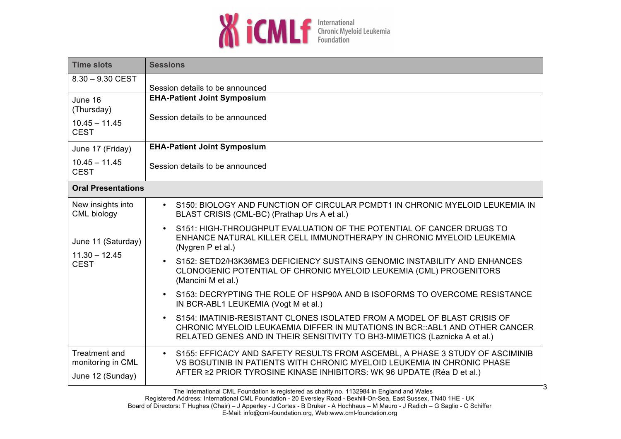

| <b>Time slots</b>                                      | <b>Sessions</b>                                                                                                                                                                                                                                  |
|--------------------------------------------------------|--------------------------------------------------------------------------------------------------------------------------------------------------------------------------------------------------------------------------------------------------|
| $8.30 - 9.30$ CEST                                     | Session details to be announced                                                                                                                                                                                                                  |
| June 16<br>(Thursday)                                  | <b>EHA-Patient Joint Symposium</b>                                                                                                                                                                                                               |
| $10.45 - 11.45$<br><b>CEST</b>                         | Session details to be announced                                                                                                                                                                                                                  |
| June 17 (Friday)                                       | <b>EHA-Patient Joint Symposium</b>                                                                                                                                                                                                               |
| $10.45 - 11.45$<br><b>CEST</b>                         | Session details to be announced                                                                                                                                                                                                                  |
| <b>Oral Presentations</b>                              |                                                                                                                                                                                                                                                  |
| New insights into<br>CML biology                       | • S150: BIOLOGY AND FUNCTION OF CIRCULAR PCMDT1 IN CHRONIC MYELOID LEUKEMIA IN<br>BLAST CRISIS (CML-BC) (Prathap Urs A et al.)                                                                                                                   |
| June 11 (Saturday)<br>$11.30 - 12.45$<br><b>CEST</b>   | S151: HIGH-THROUGHPUT EVALUATION OF THE POTENTIAL OF CANCER DRUGS TO<br>$\bullet$<br>ENHANCE NATURAL KILLER CELL IMMUNOTHERAPY IN CHRONIC MYELOID LEUKEMIA<br>(Nygren P et al.)                                                                  |
|                                                        | S152: SETD2/H3K36ME3 DEFICIENCY SUSTAINS GENOMIC INSTABILITY AND ENHANCES<br>$\bullet$<br>CLONOGENIC POTENTIAL OF CHRONIC MYELOID LEUKEMIA (CML) PROGENITORS<br>(Mancini M et al.)                                                               |
|                                                        | S153: DECRYPTING THE ROLE OF HSP90A AND B ISOFORMS TO OVERCOME RESISTANCE<br>IN BCR-ABL1 LEUKEMIA (Vogt M et al.)                                                                                                                                |
|                                                        | S154: IMATINIB-RESISTANT CLONES ISOLATED FROM A MODEL OF BLAST CRISIS OF<br>CHRONIC MYELOID LEUKAEMIA DIFFER IN MUTATIONS IN BCR::ABL1 AND OTHER CANCER<br>RELATED GENES AND IN THEIR SENSITIVITY TO BH3-MIMETICS (Laznicka A et al.)            |
| Treatment and<br>monitoring in CML<br>June 12 (Sunday) | S155: EFFICACY AND SAFETY RESULTS FROM ASCEMBL, A PHASE 3 STUDY OF ASCIMINIB<br>$\bullet$ .<br>VS BOSUTINIB IN PATIENTS WITH CHRONIC MYELOID LEUKEMIA IN CHRONIC PHASE<br>AFTER ≥2 PRIOR TYROSINE KINASE INHIBITORS: WK 96 UPDATE (Réa D et al.) |

3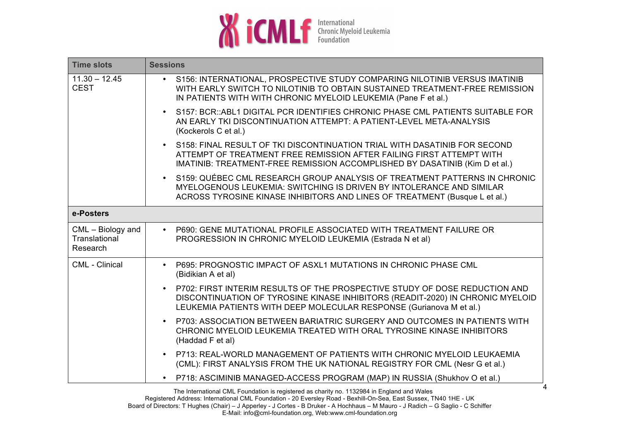

| <b>Time slots</b>                                | <b>Sessions</b>                                                                                                                                                                                                                          |
|--------------------------------------------------|------------------------------------------------------------------------------------------------------------------------------------------------------------------------------------------------------------------------------------------|
| $11.30 - 12.45$<br><b>CEST</b>                   | S156: INTERNATIONAL, PROSPECTIVE STUDY COMPARING NILOTINIB VERSUS IMATINIB<br>$\bullet$<br>WITH EARLY SWITCH TO NILOTINIB TO OBTAIN SUSTAINED TREATMENT-FREE REMISSION<br>IN PATIENTS WITH WITH CHRONIC MYELOID LEUKEMIA (Pane F et al.) |
|                                                  | S157: BCR::ABL1 DIGITAL PCR IDENTIFIES CHRONIC PHASE CML PATIENTS SUITABLE FOR<br>$\bullet$<br>AN EARLY TKI DISCONTINUATION ATTEMPT: A PATIENT-LEVEL META-ANALYSIS<br>(Kockerols C et al.)                                               |
|                                                  | . S158: FINAL RESULT OF TKI DISCONTINUATION TRIAL WITH DASATINIB FOR SECOND<br>ATTEMPT OF TREATMENT FREE REMISSION AFTER FAILING FIRST ATTEMPT WITH<br>IMATINIB: TREATMENT-FREE REMISSION ACCOMPLISHED BY DASATINIB (Kim D et al.)       |
|                                                  | S159: QUÉBEC CML RESEARCH GROUP ANALYSIS OF TREATMENT PATTERNS IN CHRONIC<br>MYELOGENOUS LEUKEMIA: SWITCHING IS DRIVEN BY INTOLERANCE AND SIMILAR<br>ACROSS TYROSINE KINASE INHIBITORS AND LINES OF TREATMENT (Busque L et al.)          |
| e-Posters                                        |                                                                                                                                                                                                                                          |
| $CML - Biology$ and<br>Translational<br>Research | • P690: GENE MUTATIONAL PROFILE ASSOCIATED WITH TREATMENT FAILURE OR<br>PROGRESSION IN CHRONIC MYELOID LEUKEMIA (Estrada N et al)                                                                                                        |
| <b>CML - Clinical</b>                            | P695: PROGNOSTIC IMPACT OF ASXL1 MUTATIONS IN CHRONIC PHASE CML<br>$\bullet$<br>(Bidikian A et al)                                                                                                                                       |
|                                                  | • P702: FIRST INTERIM RESULTS OF THE PROSPECTIVE STUDY OF DOSE REDUCTION AND<br>DISCONTINUATION OF TYROSINE KINASE INHIBITORS (READIT-2020) IN CHRONIC MYELOID<br>LEUKEMIA PATIENTS WITH DEEP MOLECULAR RESPONSE (Gurianova M et al.)    |
|                                                  | P703: ASSOCIATION BETWEEN BARIATRIC SURGERY AND OUTCOMES IN PATIENTS WITH<br>$\bullet$<br>CHRONIC MYELOID LEUKEMIA TREATED WITH ORAL TYROSINE KINASE INHIBITORS<br>(Haddad F et al)                                                      |
|                                                  | • P713: REAL-WORLD MANAGEMENT OF PATIENTS WITH CHRONIC MYELOID LEUKAEMIA<br>(CML): FIRST ANALYSIS FROM THE UK NATIONAL REGISTRY FOR CML (Nesr G et al.)                                                                                  |
|                                                  | • P718: ASCIMINIB MANAGED-ACCESS PROGRAM (MAP) IN RUSSIA (Shukhov O et al.)                                                                                                                                                              |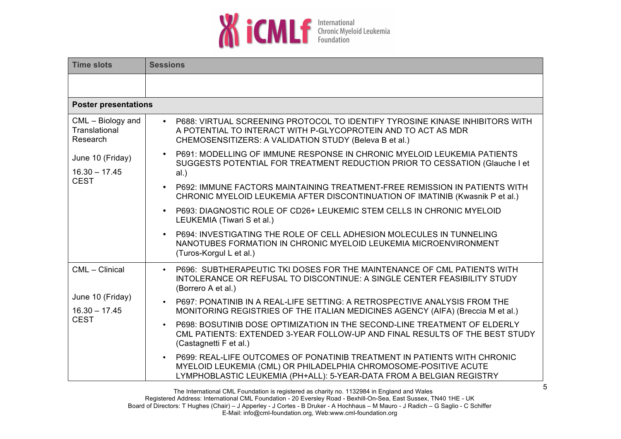

| <b>Time slots</b>                                                                                      | <b>Sessions</b>                                                                                                                                                                                                      |  |
|--------------------------------------------------------------------------------------------------------|----------------------------------------------------------------------------------------------------------------------------------------------------------------------------------------------------------------------|--|
|                                                                                                        |                                                                                                                                                                                                                      |  |
| <b>Poster presentations</b>                                                                            |                                                                                                                                                                                                                      |  |
| $CML - Biology$ and<br>Translational<br>Research<br>June 10 (Friday)<br>$16.30 - 17.45$<br><b>CEST</b> | • P688: VIRTUAL SCREENING PROTOCOL TO IDENTIFY TYROSINE KINASE INHIBITORS WITH<br>A POTENTIAL TO INTERACT WITH P-GLYCOPROTEIN AND TO ACT AS MDR<br>CHEMOSENSITIZERS: A VALIDATION STUDY (Beleva B et al.)            |  |
|                                                                                                        | P691: MODELLING OF IMMUNE RESPONSE IN CHRONIC MYELOID LEUKEMIA PATIENTS<br>SUGGESTS POTENTIAL FOR TREATMENT REDUCTION PRIOR TO CESSATION (Glauche I et<br>al.)                                                       |  |
|                                                                                                        | P692: IMMUNE FACTORS MAINTAINING TREATMENT-FREE REMISSION IN PATIENTS WITH<br>$\bullet$<br>CHRONIC MYELOID LEUKEMIA AFTER DISCONTINUATION OF IMATINIB (Kwasnik P et al.)                                             |  |
|                                                                                                        | P693: DIAGNOSTIC ROLE OF CD26+ LEUKEMIC STEM CELLS IN CHRONIC MYELOID<br>$\bullet$<br>LEUKEMIA (Tiwari S et al.)                                                                                                     |  |
|                                                                                                        | P694: INVESTIGATING THE ROLE OF CELL ADHESION MOLECULES IN TUNNELING<br>$\bullet$<br>NANOTUBES FORMATION IN CHRONIC MYELOID LEUKEMIA MICROENVIRONMENT<br>(Turos-Korgul L et al.)                                     |  |
| CML - Clinical<br>June 10 (Friday)<br>$16.30 - 17.45$<br><b>CEST</b>                                   | • P696: SUBTHERAPEUTIC TKI DOSES FOR THE MAINTENANCE OF CML PATIENTS WITH<br>INTOLERANCE OR REFUSAL TO DISCONTINUE: A SINGLE CENTER FEASIBILITY STUDY<br>(Borrero A et al.)                                          |  |
|                                                                                                        | P697: PONATINIB IN A REAL-LIFE SETTING: A RETROSPECTIVE ANALYSIS FROM THE<br>$\bullet$<br>MONITORING REGISTRIES OF THE ITALIAN MEDICINES AGENCY (AIFA) (Breccia M et al.)                                            |  |
|                                                                                                        | P698: BOSUTINIB DOSE OPTIMIZATION IN THE SECOND-LINE TREATMENT OF ELDERLY<br>$\bullet$<br>CML PATIENTS: EXTENDED 3-YEAR FOLLOW-UP AND FINAL RESULTS OF THE BEST STUDY<br>(Castagnetti F et al.)                      |  |
|                                                                                                        | P699: REAL-LIFE OUTCOMES OF PONATINIB TREATMENT IN PATIENTS WITH CHRONIC<br>MYELOID LEUKEMIA (CML) OR PHILADELPHIA CHROMOSOME-POSITIVE ACUTE<br>LYMPHOBLASTIC LEUKEMIA (PH+ALL): 5-YEAR-DATA FROM A BELGIAN REGISTRY |  |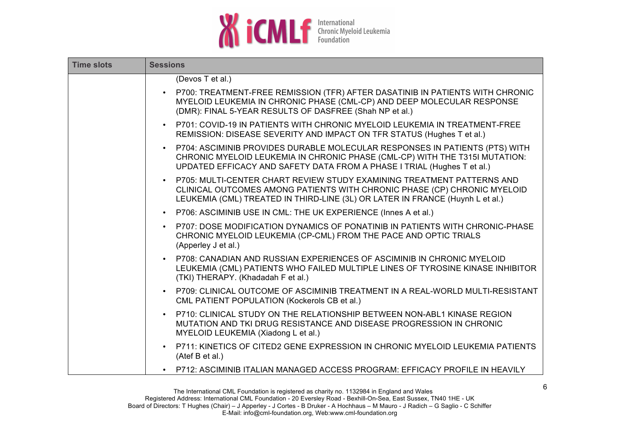

| <b>Time slots</b> | <b>Sessions</b>                                                                                                                                                                                                                                    |
|-------------------|----------------------------------------------------------------------------------------------------------------------------------------------------------------------------------------------------------------------------------------------------|
|                   | (Devos T et al.)                                                                                                                                                                                                                                   |
|                   | P700: TREATMENT-FREE REMISSION (TFR) AFTER DASATINIB IN PATIENTS WITH CHRONIC<br>$\bullet$<br>MYELOID LEUKEMIA IN CHRONIC PHASE (CML-CP) AND DEEP MOLECULAR RESPONSE<br>(DMR): FINAL 5-YEAR RESULTS OF DASFREE (Shah NP et al.)                    |
|                   | • P701: COVID-19 IN PATIENTS WITH CHRONIC MYELOID LEUKEMIA IN TREATMENT-FREE<br>REMISSION: DISEASE SEVERITY AND IMPACT ON TFR STATUS (Hughes T et al.)                                                                                             |
|                   | P704: ASCIMINIB PROVIDES DURABLE MOLECULAR RESPONSES IN PATIENTS (PTS) WITH<br>$\bullet$<br>CHRONIC MYELOID LEUKEMIA IN CHRONIC PHASE (CML-CP) WITH THE T315I MUTATION:<br>UPDATED EFFICACY AND SAFETY DATA FROM A PHASE I TRIAL (Hughes T et al.) |
|                   | • P705: MULTI-CENTER CHART REVIEW STUDY EXAMINING TREATMENT PATTERNS AND<br>CLINICAL OUTCOMES AMONG PATIENTS WITH CHRONIC PHASE (CP) CHRONIC MYELOID<br>LEUKEMIA (CML) TREATED IN THIRD-LINE (3L) OR LATER IN FRANCE (Huynh L et al.)              |
|                   | • P706: ASCIMINIB USE IN CML: THE UK EXPERIENCE (Innes A et al.)                                                                                                                                                                                   |
|                   | P707: DOSE MODIFICATION DYNAMICS OF PONATINIB IN PATIENTS WITH CHRONIC-PHASE<br>$\bullet$<br>CHRONIC MYELOID LEUKEMIA (CP-CML) FROM THE PACE AND OPTIC TRIALS<br>(Apperley J et al.)                                                               |
|                   | • P708: CANADIAN AND RUSSIAN EXPERIENCES OF ASCIMINIB IN CHRONIC MYELOID<br>LEUKEMIA (CML) PATIENTS WHO FAILED MULTIPLE LINES OF TYROSINE KINASE INHIBITOR<br>(TKI) THERAPY. (Khadadah F et al.)                                                   |
|                   | P709: CLINICAL OUTCOME OF ASCIMINIB TREATMENT IN A REAL-WORLD MULTI-RESISTANT<br>$\bullet$<br>CML PATIENT POPULATION (Kockerols CB et al.)                                                                                                         |
|                   | P710: CLINICAL STUDY ON THE RELATIONSHIP BETWEEN NON-ABL1 KINASE REGION<br>$\bullet$<br>MUTATION AND TKI DRUG RESISTANCE AND DISEASE PROGRESSION IN CHRONIC<br>MYELOID LEUKEMIA (Xiadong L et al.)                                                 |
|                   | P711: KINETICS OF CITED2 GENE EXPRESSION IN CHRONIC MYELOID LEUKEMIA PATIENTS<br>(Atef B et al.)                                                                                                                                                   |
|                   | • P712: ASCIMINIB ITALIAN MANAGED ACCESS PROGRAM: EFFICACY PROFILE IN HEAVILY                                                                                                                                                                      |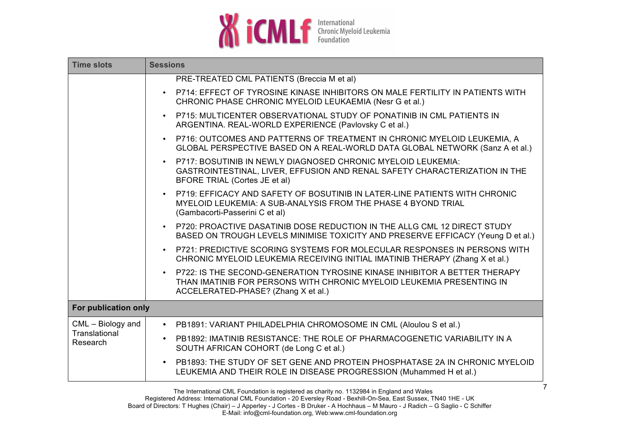

| <b>Time slots</b>         | <b>Sessions</b>                                                                                                                                                                           |
|---------------------------|-------------------------------------------------------------------------------------------------------------------------------------------------------------------------------------------|
|                           | PRE-TREATED CML PATIENTS (Breccia M et al)                                                                                                                                                |
|                           | • P714: EFFECT OF TYROSINE KINASE INHIBITORS ON MALE FERTILITY IN PATIENTS WITH<br>CHRONIC PHASE CHRONIC MYELOID LEUKAEMIA (Nesr G et al.)                                                |
|                           | • P715: MULTICENTER OBSERVATIONAL STUDY OF PONATINIB IN CML PATIENTS IN<br>ARGENTINA. REAL-WORLD EXPERIENCE (Pavlovsky C et al.)                                                          |
|                           | • P716: OUTCOMES AND PATTERNS OF TREATMENT IN CHRONIC MYELOID LEUKEMIA, A<br>GLOBAL PERSPECTIVE BASED ON A REAL-WORLD DATA GLOBAL NETWORK (Sanz A et al.)                                 |
|                           | P717: BOSUTINIB IN NEWLY DIAGNOSED CHRONIC MYELOID LEUKEMIA:<br>GASTROINTESTINAL, LIVER, EFFUSION AND RENAL SAFETY CHARACTERIZATION IN THE<br>BFORE TRIAL (Cortes JE et al)               |
|                           | • P719: EFFICACY AND SAFETY OF BOSUTINIB IN LATER-LINE PATIENTS WITH CHRONIC<br>MYELOID LEUKEMIA: A SUB-ANALYSIS FROM THE PHASE 4 BYOND TRIAL<br>(Gambacorti-Passerini C et al)           |
|                           | • P720: PROACTIVE DASATINIB DOSE REDUCTION IN THE ALLG CML 12 DIRECT STUDY<br>BASED ON TROUGH LEVELS MINIMISE TOXICITY AND PRESERVE EFFICACY (Yeung D et al.)                             |
|                           | • P721: PREDICTIVE SCORING SYSTEMS FOR MOLECULAR RESPONSES IN PERSONS WITH<br>CHRONIC MYELOID LEUKEMIA RECEIVING INITIAL IMATINIB THERAPY (Zhang X et al.)                                |
|                           | P722: IS THE SECOND-GENERATION TYROSINE KINASE INHIBITOR A BETTER THERAPY<br>THAN IMATINIB FOR PERSONS WITH CHRONIC MYELOID LEUKEMIA PRESENTING IN<br>ACCELERATED-PHASE? (Zhang X et al.) |
| For publication only      |                                                                                                                                                                                           |
| CML - Biology and         | • PB1891: VARIANT PHILADELPHIA CHROMOSOME IN CML (Aloulou S et al.)                                                                                                                       |
| Translational<br>Research | PB1892: IMATINIB RESISTANCE: THE ROLE OF PHARMACOGENETIC VARIABILITY IN A<br>$\bullet$<br>SOUTH AFRICAN COHORT (de Long C et al.)                                                         |
|                           | PB1893: THE STUDY OF SET GENE AND PROTEIN PHOSPHATASE 2A IN CHRONIC MYELOID<br>$\bullet$<br>LEUKEMIA AND THEIR ROLE IN DISEASE PROGRESSION (Muhammed H et al.)                            |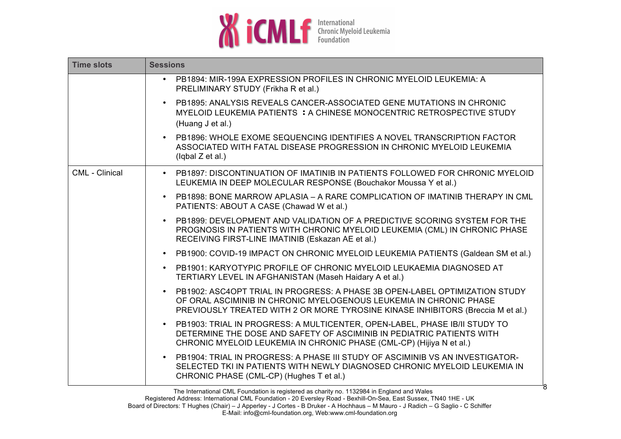

| <b>Time slots</b> | <b>Sessions</b>                                                                                                                                                                                                                          |
|-------------------|------------------------------------------------------------------------------------------------------------------------------------------------------------------------------------------------------------------------------------------|
|                   | PB1894: MIR-199A EXPRESSION PROFILES IN CHRONIC MYELOID LEUKEMIA: A<br>$\bullet$<br>PRELIMINARY STUDY (Frikha R et al.)                                                                                                                  |
|                   | PB1895: ANALYSIS REVEALS CANCER-ASSOCIATED GENE MUTATIONS IN CHRONIC<br>MYELOID LEUKEMIA PATIENTS : A CHINESE MONOCENTRIC RETROSPECTIVE STUDY<br>(Huang J et al.)                                                                        |
|                   | PB1896: WHOLE EXOME SEQUENCING IDENTIFIES A NOVEL TRANSCRIPTION FACTOR<br>ASSOCIATED WITH FATAL DISEASE PROGRESSION IN CHRONIC MYELOID LEUKEMIA<br>(lqbal Z et al.)                                                                      |
| CML - Clinical    | • PB1897: DISCONTINUATION OF IMATINIB IN PATIENTS FOLLOWED FOR CHRONIC MYELOID<br>LEUKEMIA IN DEEP MOLECULAR RESPONSE (Bouchakor Moussa Y et al.)                                                                                        |
|                   | PB1898: BONE MARROW APLASIA – A RARE COMPLICATION OF IMATINIB THERAPY IN CML<br>$\bullet$<br>PATIENTS: ABOUT A CASE (Chawad W et al.)                                                                                                    |
|                   | PB1899: DEVELOPMENT AND VALIDATION OF A PREDICTIVE SCORING SYSTEM FOR THE<br>PROGNOSIS IN PATIENTS WITH CHRONIC MYELOID LEUKEMIA (CML) IN CHRONIC PHASE<br>RECEIVING FIRST-LINE IMATINIB (Eskazan AE et al.)                             |
|                   | PB1900: COVID-19 IMPACT ON CHRONIC MYELOID LEUKEMIA PATIENTS (Galdean SM et al.)<br>$\bullet$                                                                                                                                            |
|                   | PB1901: KARYOTYPIC PROFILE OF CHRONIC MYELOID LEUKAEMIA DIAGNOSED AT<br>$\bullet$<br>TERTIARY LEVEL IN AFGHANISTAN (Maseh Haidary A et al.)                                                                                              |
|                   | PB1902: ASC4OPT TRIAL IN PROGRESS: A PHASE 3B OPEN-LABEL OPTIMIZATION STUDY<br>OF ORAL ASCIMINIB IN CHRONIC MYELOGENOUS LEUKEMIA IN CHRONIC PHASE<br>PREVIOUSLY TREATED WITH 2 OR MORE TYROSINE KINASE INHIBITORS (Breccia M et al.)     |
|                   | PB1903: TRIAL IN PROGRESS: A MULTICENTER, OPEN-LABEL, PHASE IB/II STUDY TO<br>$\bullet$<br>DETERMINE THE DOSE AND SAFETY OF ASCIMINIB IN PEDIATRIC PATIENTS WITH<br>CHRONIC MYELOID LEUKEMIA IN CHRONIC PHASE (CML-CP) (Hijiya N et al.) |
|                   | PB1904: TRIAL IN PROGRESS: A PHASE III STUDY OF ASCIMINIB VS AN INVESTIGATOR-<br>$\bullet$<br>SELECTED TKI IN PATIENTS WITH NEWLY DIAGNOSED CHRONIC MYELOID LEUKEMIA IN<br>CHRONIC PHASE (CML-CP) (Hughes T et al.)                      |

8